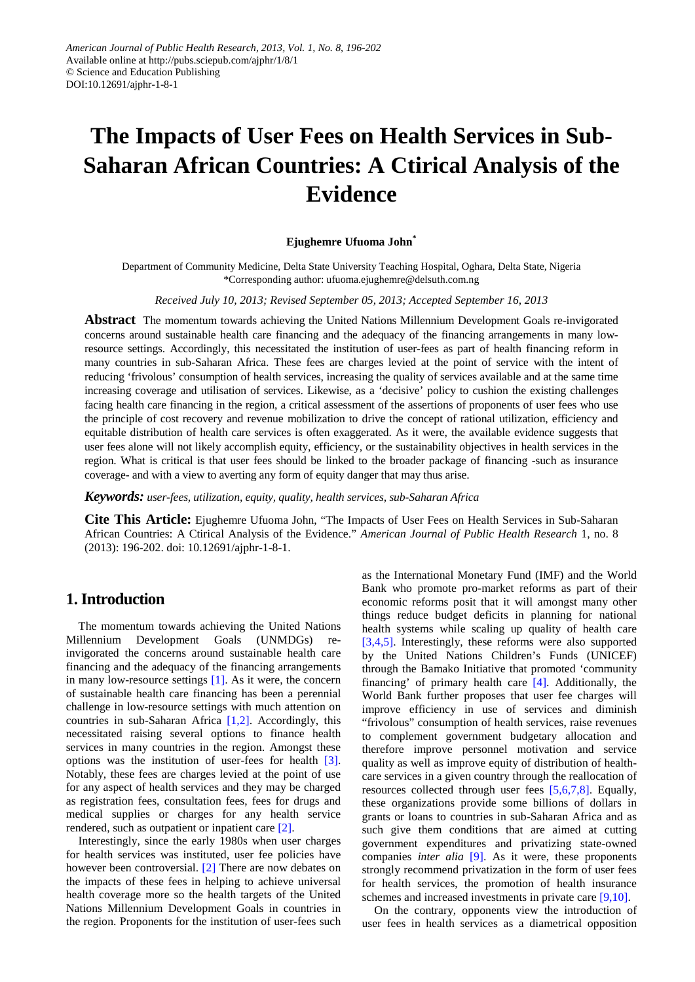# **The Impacts of User Fees on Health Services in Sub-Saharan African Countries: A Ctirical Analysis of the Evidence**

#### **Ejughemre Ufuoma John\***

Department of Community Medicine, Delta State University Teaching Hospital, Oghara, Delta State, Nigeria \*Corresponding author: ufuoma.ejughemre@delsuth.com.ng

*Received July 10, 2013; Revised September 05, 2013; Accepted September 16, 2013*

**Abstract** The momentum towards achieving the United Nations Millennium Development Goals re-invigorated concerns around sustainable health care financing and the adequacy of the financing arrangements in many lowresource settings. Accordingly, this necessitated the institution of user-fees as part of health financing reform in many countries in sub-Saharan Africa. These fees are charges levied at the point of service with the intent of reducing 'frivolous' consumption of health services, increasing the quality of services available and at the same time increasing coverage and utilisation of services. Likewise, as a 'decisive' policy to cushion the existing challenges facing health care financing in the region, a critical assessment of the assertions of proponents of user fees who use the principle of cost recovery and revenue mobilization to drive the concept of rational utilization, efficiency and equitable distribution of health care services is often exaggerated. As it were, the available evidence suggests that user fees alone will not likely accomplish equity, efficiency, or the sustainability objectives in health services in the region. What is critical is that user fees should be linked to the broader package of financing -such as insurance coverage- and with a view to averting any form of equity danger that may thus arise.

*Keywords: user-fees, utilization, equity, quality, health services, sub-Saharan Africa*

**Cite This Article:** Ejughemre Ufuoma John, "The Impacts of User Fees on Health Services in Sub-Saharan African Countries: A Ctirical Analysis of the Evidence." *American Journal of Public Health Research* 1, no. 8 (2013): 196-202. doi: 10.12691/ajphr-1-8-1.

# **1. Introduction**

The momentum towards achieving the United Nations Millennium Development Goals (UNMDGs) reinvigorated the concerns around sustainable health care financing and the adequacy of the financing arrangements in many low-resource settings [\[1\].](#page-5-0) As it were, the concern of sustainable health care financing has been a perennial challenge in low-resource settings with much attention on countries in sub-Saharan Africa [\[1,2\].](#page-5-0) Accordingly, this necessitated raising several options to finance health services in many countries in the region. Amongst these options was the institution of user-fees for health [\[3\].](#page-5-1) Notably, these fees are charges levied at the point of use for any aspect of health services and they may be charged as registration fees, consultation fees, fees for drugs and medical supplies or charges for any health service rendered, such as outpatient or inpatient care [\[2\].](#page-5-2)

Interestingly, since the early 1980s when user charges for health services was instituted, user fee policies have however been controversial. [\[2\]](#page-5-2) There are now debates on the impacts of these fees in helping to achieve universal health coverage more so the health targets of the United Nations Millennium Development Goals in countries in the region. Proponents for the institution of user-fees such as the International Monetary Fund (IMF) and the World Bank who promote pro-market reforms as part of their economic reforms posit that it will amongst many other things reduce budget deficits in planning for national health systems while scaling up quality of health care [\[3,4,5\].](#page-5-1) Interestingly, these reforms were also supported by the United Nations Children's Funds (UNICEF) through the Bamako Initiative that promoted 'community financing' of primary health care [\[4\].](#page-5-3) Additionally, the World Bank further proposes that user fee charges will improve efficiency in use of services and diminish "frivolous" consumption of health services, raise revenues to complement government budgetary allocation and therefore improve personnel motivation and service quality as well as improve equity of distribution of healthcare services in a given country through the reallocation of resources collected through user fees [\[5,6,7,8\].](#page-5-4) Equally, these organizations provide some billions of dollars in grants or loans to countries in sub-Saharan Africa and as such give them conditions that are aimed at cutting government expenditures and privatizing state-owned companies *inter alia* [\[9\].](#page-5-5) As it were, these proponents strongly recommend privatization in the form of user fees for health services, the promotion of health insurance schemes and increased investments in private care [\[9,10\].](#page-5-5)

On the contrary, opponents view the introduction of user fees in health services as a diametrical opposition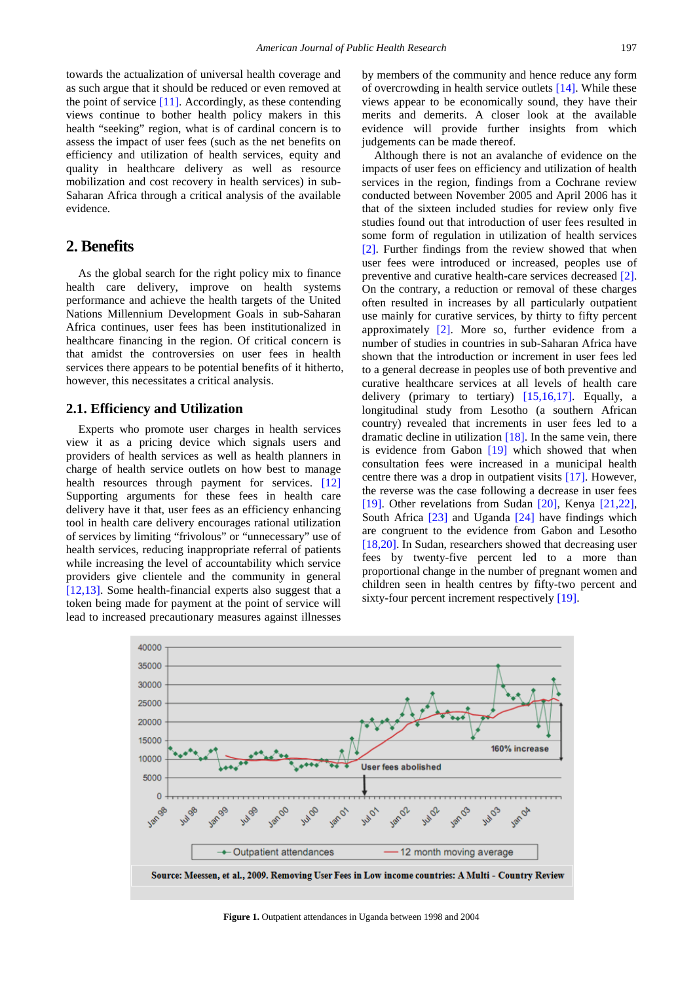towards the actualization of universal health coverage and as such argue that it should be reduced or even removed at the point of service  $[11]$ . Accordingly, as these contending views continue to bother health policy makers in this health "seeking" region, what is of cardinal concern is to assess the impact of user fees (such as the net benefits on efficiency and utilization of health services, equity and quality in healthcare delivery as well as resource mobilization and cost recovery in health services) in sub-Saharan Africa through a critical analysis of the available evidence.

# **2. Benefits**

As the global search for the right policy mix to finance health care delivery, improve on health systems performance and achieve the health targets of the United Nations Millennium Development Goals in sub-Saharan Africa continues, user fees has been institutionalized in healthcare financing in the region. Of critical concern is that amidst the controversies on user fees in health services there appears to be potential benefits of it hitherto, however, this necessitates a critical analysis.

## **2.1. Efficiency and Utilization**

Experts who promote user charges in health services view it as a pricing device which signals users and providers of health services as well as health planners in charge of health service outlets on how best to manage health resources through payment for services. [\[12\]](#page-5-7) Supporting arguments for these fees in health care delivery have it that, user fees as an efficiency enhancing tool in health care delivery encourages rational utilization of services by limiting "frivolous" or "unnecessary" use of health services, reducing inappropriate referral of patients while increasing the level of accountability which service providers give clientele and the community in general [\[12,13\].](#page-5-7) Some health-financial experts also suggest that a token being made for payment at the point of service will lead to increased precautionary measures against illnesses by members of the community and hence reduce any form of overcrowding in health service outlets [\[14\].](#page-5-8) While these views appear to be economically sound, they have their merits and demerits. A closer look at the available evidence will provide further insights from which judgements can be made thereof.

Although there is not an avalanche of evidence on the impacts of user fees on efficiency and utilization of health services in the region, findings from a Cochrane review conducted between November 2005 and April 2006 has it that of the sixteen included studies for review only five studies found out that introduction of user fees resulted in some form of regulation in utilization of health services [\[2\].](#page-5-2) Further findings from the review showed that when user fees were introduced or increased, peoples use of preventive and curative health-care services decreased [\[2\].](#page-5-2) On the contrary, a reduction or removal of these charges often resulted in increases by all particularly outpatient use mainly for curative services, by thirty to fifty percent approximately [\[2\].](#page-5-2) More so, further evidence from a number of studies in countries in sub-Saharan Africa have shown that the introduction or increment in user fees led to a general decrease in peoples use of both preventive and curative healthcare services at all levels of health care delivery (primary to tertiary) [\[15,16,17\].](#page-5-9) Equally, a longitudinal study from Lesotho (a southern African country) revealed that increments in user fees led to a dramatic decline in utilization  $[18]$ . In the same vein, there is evidence from Gabon [\[19\]](#page-5-11) which showed that when consultation fees were increased in a municipal health centre there was a drop in outpatient visits [\[17\].](#page-5-12) However, the reverse was the case following a decrease in user fees [\[19\].](#page-5-11) Other revelations from Sudan [\[20\],](#page-5-13) Kenya [\[21,22\],](#page-5-14) South Africa [\[23\]](#page-5-15) and Uganda [\[24\]](#page-5-16) have findings which are congruent to the evidence from Gabon and Lesotho [\[18,20\].](#page-5-10) In Sudan, researchers showed that decreasing user fees by twenty-five percent led to a more than proportional change in the number of pregnant women and children seen in health centres by fifty-two percent and sixty-four percent increment respectively [\[19\].](#page-5-11)

<span id="page-1-0"></span>

**Figure 1.** Outpatient attendances in Uganda between 1998 and 2004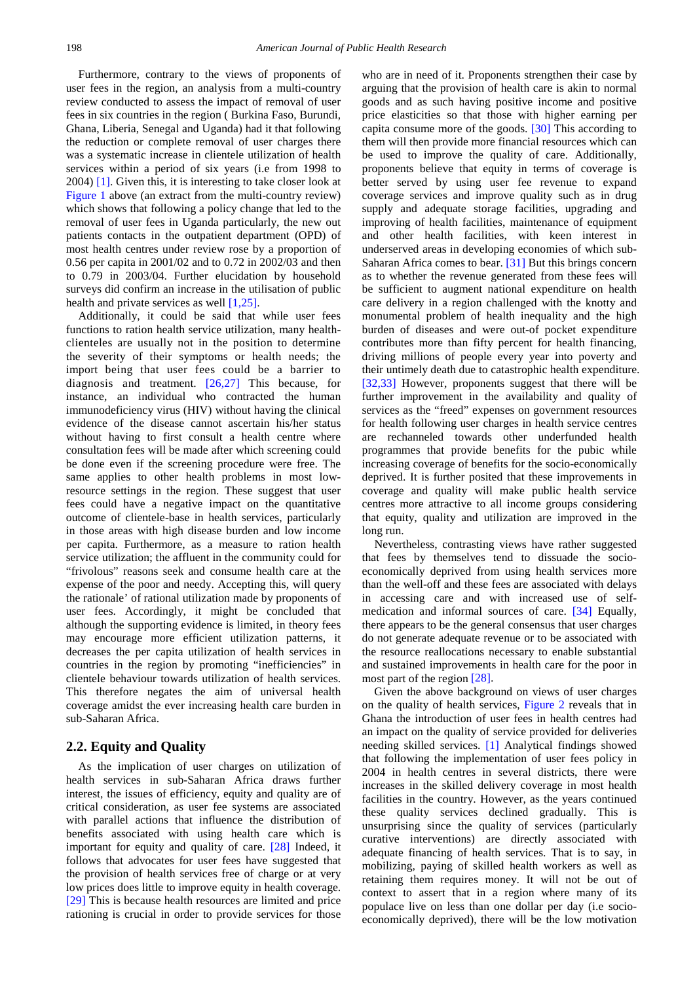Furthermore, contrary to the views of proponents of user fees in the region, an analysis from a multi-country review conducted to assess the impact of removal of user fees in six countries in the region ( Burkina Faso, Burundi, Ghana, Liberia, Senegal and Uganda) had it that following the reduction or complete removal of user charges there was a systematic increase in clientele utilization of health services within a period of six years (i.e from 1998 to 2004) [\[1\].](#page-5-0) Given this, it is interesting to take closer look at [Figure 1](#page-1-0) above (an extract from the multi-country review) which shows that following a policy change that led to the removal of user fees in Uganda particularly, the new out patients contacts in the outpatient department (OPD) of most health centres under review rose by a proportion of 0.56 per capita in 2001/02 and to 0.72 in 2002/03 and then to 0.79 in 2003/04. Further elucidation by household surveys did confirm an increase in the utilisation of public health and private services as well [\[1,25\].](#page-5-0)

Additionally, it could be said that while user fees functions to ration health service utilization, many healthclienteles are usually not in the position to determine the severity of their symptoms or health needs; the import being that user fees could be a barrier to diagnosis and treatment. [\[26,27\]](#page-5-17) This because, for instance, an individual who contracted the human immunodeficiency virus (HIV) without having the clinical evidence of the disease cannot ascertain his/her status without having to first consult a health centre where consultation fees will be made after which screening could be done even if the screening procedure were free. The same applies to other health problems in most lowresource settings in the region. These suggest that user fees could have a negative impact on the quantitative outcome of clientele-base in health services, particularly in those areas with high disease burden and low income per capita. Furthermore, as a measure to ration health service utilization; the affluent in the community could for "frivolous" reasons seek and consume health care at the expense of the poor and needy. Accepting this, will query the rationale' of rational utilization made by proponents of user fees. Accordingly, it might be concluded that although the supporting evidence is limited, in theory fees may encourage more efficient utilization patterns, it decreases the per capita utilization of health services in countries in the region by promoting "inefficiencies" in clientele behaviour towards utilization of health services. This therefore negates the aim of universal health coverage amidst the ever increasing health care burden in sub-Saharan Africa.

# **2.2. Equity and Quality**

As the implication of user charges on utilization of health services in sub-Saharan Africa draws further interest, the issues of efficiency, equity and quality are of critical consideration, as user fee systems are associated with parallel actions that influence the distribution of benefits associated with using health care which is important for equity and quality of care. [\[28\]](#page-5-18) Indeed, it follows that advocates for user fees have suggested that the provision of health services free of charge or at very low prices does little to improve equity in health coverage. [\[29\]](#page-5-19) This is because health resources are limited and price rationing is crucial in order to provide services for those

who are in need of it. Proponents strengthen their case by arguing that the provision of health care is akin to normal goods and as such having positive income and positive price elasticities so that those with higher earning per capita consume more of the goods. [\[30\]](#page-5-20) This according to them will then provide more financial resources which can be used to improve the quality of care. Additionally, proponents believe that equity in terms of coverage is better served by using user fee revenue to expand coverage services and improve quality such as in drug supply and adequate storage facilities, upgrading and improving of health facilities, maintenance of equipment and other health facilities, with keen interest in underserved areas in developing economies of which sub-Saharan Africa comes to bear. [\[31\]](#page-5-21) But this brings concern as to whether the revenue generated from these fees will be sufficient to augment national expenditure on health care delivery in a region challenged with the knotty and monumental problem of health inequality and the high burden of diseases and were out-of pocket expenditure contributes more than fifty percent for health financing, driving millions of people every year into poverty and their untimely death due to catastrophic health expenditure. [\[32,33\]](#page-5-22) However, proponents suggest that there will be further improvement in the availability and quality of services as the "freed" expenses on government resources for health following user charges in health service centres are rechanneled towards other underfunded health programmes that provide benefits for the pubic while increasing coverage of benefits for the socio-economically deprived. It is further posited that these improvements in coverage and quality will make public health service centres more attractive to all income groups considering that equity, quality and utilization are improved in the long run.

Nevertheless, contrasting views have rather suggested that fees by themselves tend to dissuade the socioeconomically deprived from using health services more than the well-off and these fees are associated with delays in accessing care and with increased use of selfmedication and informal sources of care. [\[34\]](#page-6-0) Equally, there appears to be the general consensus that user charges do not generate adequate revenue or to be associated with the resource reallocations necessary to enable substantial and sustained improvements in health care for the poor in most part of the region [\[28\].](#page-5-18)

Given the above background on views of user charges on the quality of health services, [Figure 2](#page-3-0) reveals that in Ghana the introduction of user fees in health centres had an impact on the quality of service provided for deliveries needing skilled services. [\[1\]](#page-5-0) Analytical findings showed that following the implementation of user fees policy in 2004 in health centres in several districts, there were increases in the skilled delivery coverage in most health facilities in the country. However, as the years continued these quality services declined gradually. This is unsurprising since the quality of services (particularly curative interventions) are directly associated with adequate financing of health services. That is to say, in mobilizing, paying of skilled health workers as well as retaining them requires money. It will not be out of context to assert that in a region where many of its populace live on less than one dollar per day (i.e socioeconomically deprived), there will be the low motivation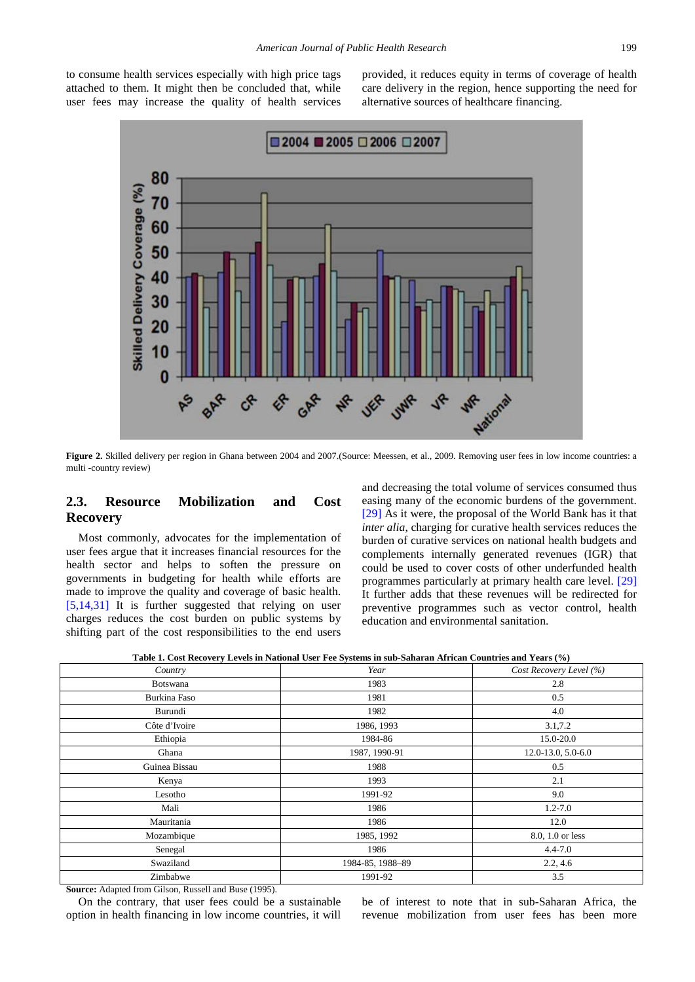<span id="page-3-0"></span>to consume health services especially with high price tags attached to them. It might then be concluded that, while user fees may increase the quality of health services provided, it reduces equity in terms of coverage of health care delivery in the region, hence supporting the need for alternative sources of healthcare financing.



Figure 2. Skilled delivery per region in Ghana between 2004 and 2007.(Source: Meessen, et al., 2009. Removing user fees in low income countries: a multi -country review)

# **2.3. Resource Mobilization and Cost Recovery**

Most commonly, advocates for the implementation of user fees argue that it increases financial resources for the health sector and helps to soften the pressure on governments in budgeting for health while efforts are made to improve the quality and coverage of basic health. [\[5,14,31\]](#page-5-4) It is further suggested that relying on user charges reduces the cost burden on public systems by shifting part of the cost responsibilities to the end users and decreasing the total volume of services consumed thus easing many of the economic burdens of the government. [\[29\]](#page-5-19) As it were, the proposal of the World Bank has it that *inter alia*, charging for curative health services reduces the burden of curative services on national health budgets and complements internally generated revenues (IGR) that could be used to cover costs of other underfunded health programmes particularly at primary health care level. [\[29\]](#page-5-19) It further adds that these revenues will be redirected for preventive programmes such as vector control, health education and environmental sanitation.

<span id="page-3-1"></span>

| Country       | Year             | Cost Recovery Level (%) |
|---------------|------------------|-------------------------|
| Botswana      | 1983             | 2.8                     |
| Burkina Faso  | 1981             | 0.5                     |
| Burundi       | 1982             | 4.0                     |
| Côte d'Ivoire | 1986, 1993       | 3.1,7.2                 |
| Ethiopia      | 1984-86          | 15.0-20.0               |
| Ghana         | 1987, 1990-91    | 12.0-13.0, 5.0-6.0      |
| Guinea Bissau | 1988             | 0.5                     |
| Kenya         | 1993             | 2.1                     |
| Lesotho       | 1991-92          | 9.0                     |
| Mali          | 1986             | $1.2 - 7.0$             |
| Mauritania    | 1986             | 12.0                    |
| Mozambique    | 1985, 1992       | 8.0, 1.0 or less        |
| Senegal       | 1986             | $4.4 - 7.0$             |
| Swaziland     | 1984-85, 1988-89 | 2.2, 4.6                |
| Zimbabwe      | 1991-92          | 3.5                     |

**Table 1. Cost Recovery Levels in National User Fee Systems in sub-Saharan African Countries and Years (%)**

**Source:** Adapted from Gilson, Russell and Buse (1995).

On the contrary, that user fees could be a sustainable option in health financing in low income countries, it will be of interest to note that in sub-Saharan Africa, the revenue mobilization from user fees has been more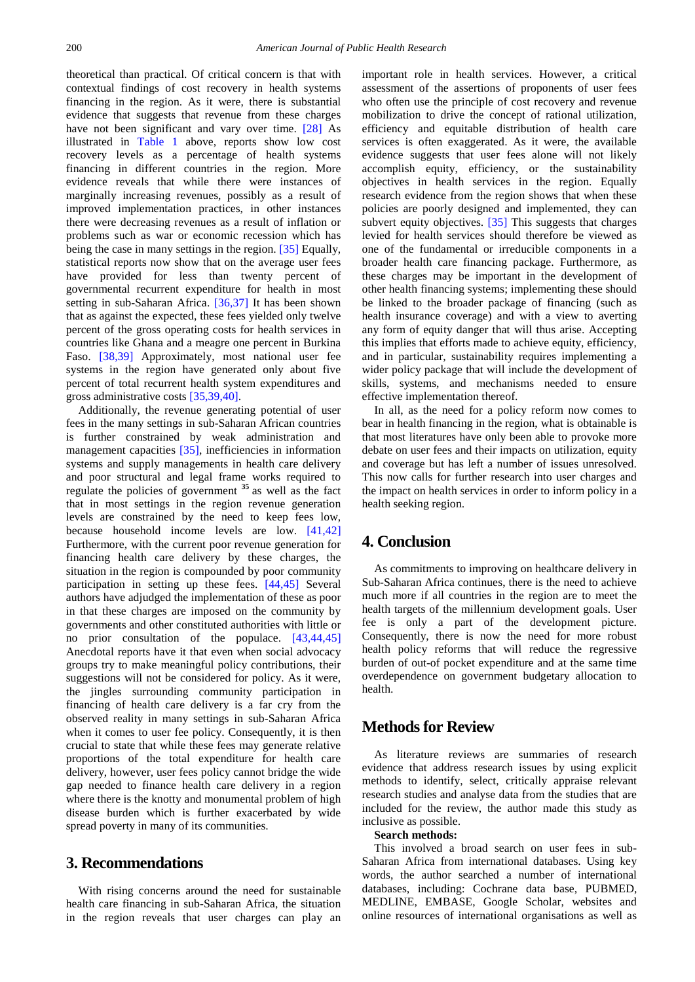theoretical than practical. Of critical concern is that with contextual findings of cost recovery in health systems financing in the region. As it were, there is substantial evidence that suggests that revenue from these charges have not been significant and vary over time. [\[28\]](#page-5-18) As illustrated in [Table 1](#page-3-1) above, reports show low cost recovery levels as a percentage of health systems financing in different countries in the region. More evidence reveals that while there were instances of marginally increasing revenues, possibly as a result of improved implementation practices, in other instances there were decreasing revenues as a result of inflation or problems such as war or economic recession which has being the case in many settings in the region. [\[35\]](#page-6-1) Equally, statistical reports now show that on the average user fees have provided for less than twenty percent of governmental recurrent expenditure for health in most setting in sub-Saharan Africa. [\[36,37\]](#page-6-2) It has been shown that as against the expected, these fees yielded only twelve percent of the gross operating costs for health services in countries like Ghana and a meagre one percent in Burkina Faso. [\[38,39\]](#page-6-3) Approximately, most national user fee systems in the region have generated only about five percent of total recurrent health system expenditures and gross administrative costs [\[35,39,40\].](#page-6-1)

Additionally, the revenue generating potential of user fees in the many settings in sub-Saharan African countries is further constrained by weak administration and management capacities [\[35\],](#page-6-1) inefficiencies in information systems and supply managements in health care delivery and poor structural and legal frame works required to regulate the policies of government **<sup>35</sup>** as well as the fact that in most settings in the region revenue generation levels are constrained by the need to keep fees low, because household income levels are low. [\[41,42\]](#page-6-4) Furthermore, with the current poor revenue generation for financing health care delivery by these charges, the situation in the region is compounded by poor community participation in setting up these fees. [\[44,45\]](#page-6-5) Several authors have adjudged the implementation of these as poor in that these charges are imposed on the community by governments and other constituted authorities with little or no prior consultation of the populace. [\[43,44,45\]](#page-6-6) Anecdotal reports have it that even when social advocacy groups try to make meaningful policy contributions, their suggestions will not be considered for policy. As it were, the jingles surrounding community participation in financing of health care delivery is a far cry from the observed reality in many settings in sub-Saharan Africa when it comes to user fee policy. Consequently, it is then crucial to state that while these fees may generate relative proportions of the total expenditure for health care delivery, however, user fees policy cannot bridge the wide gap needed to finance health care delivery in a region where there is the knotty and monumental problem of high disease burden which is further exacerbated by wide spread poverty in many of its communities.

# **3. Recommendations**

With rising concerns around the need for sustainable health care financing in sub-Saharan Africa, the situation in the region reveals that user charges can play an important role in health services. However, a critical assessment of the assertions of proponents of user fees who often use the principle of cost recovery and revenue mobilization to drive the concept of rational utilization, efficiency and equitable distribution of health care services is often exaggerated. As it were, the available evidence suggests that user fees alone will not likely accomplish equity, efficiency, or the sustainability objectives in health services in the region. Equally research evidence from the region shows that when these policies are poorly designed and implemented, they can subvert equity objectives. [\[35\]](#page-6-1) This suggests that charges levied for health services should therefore be viewed as one of the fundamental or irreducible components in a broader health care financing package. Furthermore, as these charges may be important in the development of other health financing systems; implementing these should be linked to the broader package of financing (such as health insurance coverage) and with a view to averting any form of equity danger that will thus arise. Accepting this implies that efforts made to achieve equity, efficiency, and in particular, sustainability requires implementing a wider policy package that will include the development of skills, systems, and mechanisms needed to ensure effective implementation thereof.

In all, as the need for a policy reform now comes to bear in health financing in the region, what is obtainable is that most literatures have only been able to provoke more debate on user fees and their impacts on utilization, equity and coverage but has left a number of issues unresolved. This now calls for further research into user charges and the impact on health services in order to inform policy in a health seeking region.

# **4. Conclusion**

As commitments to improving on healthcare delivery in Sub-Saharan Africa continues, there is the need to achieve much more if all countries in the region are to meet the health targets of the millennium development goals. User fee is only a part of the development picture. Consequently, there is now the need for more robust health policy reforms that will reduce the regressive burden of out-of pocket expenditure and at the same time overdependence on government budgetary allocation to health.

# **Methods for Review**

As literature reviews are summaries of research evidence that address research issues by using explicit methods to identify, select, critically appraise relevant research studies and analyse data from the studies that are included for the review, the author made this study as inclusive as possible.

### **Search methods:**

This involved a broad search on user fees in sub-Saharan Africa from international databases. Using key words, the author searched a number of international databases, including: Cochrane data base, PUBMED, MEDLINE, EMBASE, Google Scholar, websites and online resources of international organisations as well as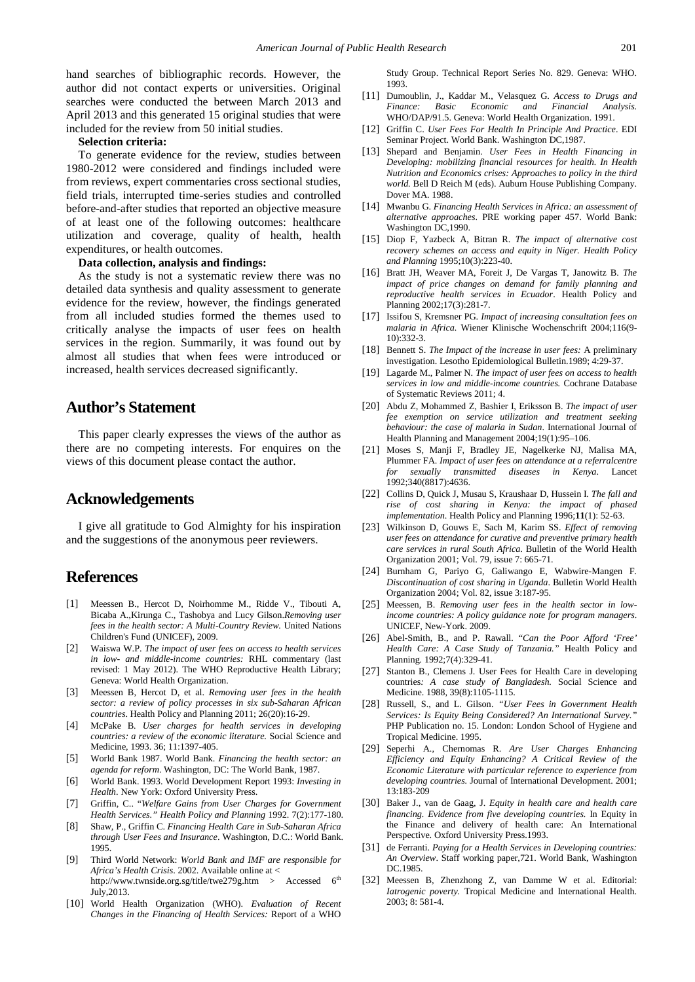hand searches of bibliographic records. However, the author did not contact experts or universities. Original searches were conducted the between March 2013 and April 2013 and this generated 15 original studies that were included for the review from 50 initial studies.

#### **Selection criteria:**

To generate evidence for the review, studies between 1980-2012 were considered and findings included were from reviews, expert commentaries cross sectional studies, field trials, interrupted time-series studies and controlled before-and-after studies that reported an objective measure of at least one of the following outcomes: healthcare utilization and coverage, quality of health, health expenditures, or health outcomes.

#### **Data collection, analysis and findings:**

As the study is not a systematic review there was no detailed data synthesis and quality assessment to generate evidence for the review, however, the findings generated from all included studies formed the themes used to critically analyse the impacts of user fees on health services in the region. Summarily, it was found out by almost all studies that when fees were introduced or increased, health services decreased significantly.

# **Author's Statement**

This paper clearly expresses the views of the author as there are no competing interests. For enquires on the views of this document please contact the author.

# **Acknowledgements**

I give all gratitude to God Almighty for his inspiration and the suggestions of the anonymous peer reviewers.

## **References**

- <span id="page-5-0"></span>[1] Meessen B., Hercot D, Noirhomme M., Ridde V., Tibouti A, Bicaba A.,Kirunga C., Tashobya and Lucy Gilson.*Removing user fees in the health sector: A Multi-Country Review.* United Nations Children's Fund (UNICEF), 2009.
- <span id="page-5-2"></span>[2] Waiswa W.P. *The impact of user fees on access to health services in low- and middle-income countries:* RHL commentary (last revised: 1 May 2012). The WHO Reproductive Health Library; Geneva: World Health Organization.
- <span id="page-5-1"></span>[3] Meessen B, Hercot D, et al. *Removing user fees in the health sector: a review of policy processes in six sub-Saharan African countries*. Health Policy and Planning 2011; 26(20):16-29.
- <span id="page-5-3"></span>[4] McPake B*. User charges for health services in developing countries: a review of the economic literature.* Social Science and Medicine, 1993. 36; 11:1397-405.
- <span id="page-5-4"></span>[5] World Bank 1987. World Bank. *Financing the health sector: an agenda for reform*. Washington, DC: The World Bank, 1987.
- [6] World Bank. 1993. World Development Report 1993: *Investing in Health*. New York: Oxford University Press.
- [7] Griffin, C.. "*Welfare Gains from User Charges for Government Health Services." Health Policy and Planning* 1992. 7(2):177-180.
- [8] Shaw, P., Griffin C. *Financing Health Care in Sub-Saharan Africa through User Fees and Insurance*. Washington, D.C.: World Bank. 1995.
- <span id="page-5-5"></span>[9] Third World Network: *World Bank and IMF are responsible for Africa's Health Crisis*. 2002. Available online at < http://www.twnside.org.sg/title/twe279g.htm > Accessed  $6<sup>th</sup>$ July,2013.
- [10] World Health Organization (WHO). *Evaluation of Recent Changes in the Financing of Health Services:* Report of a WHO

Study Group. Technical Report Series No. 829. Geneva: WHO. 1993.

- <span id="page-5-6"></span>[11] Dumoublin, J., Kaddar M., Velasquez G. *Access to Drugs and Financial* WHO/DAP/91.5. Geneva: World Health Organization. 1991.
- <span id="page-5-7"></span>[12] Griffin C. *User Fees For Health In Principle And Practice*. EDI Seminar Project. World Bank. Washington DC,1987.
- [13] Shepard and Benjamin. *User Fees in Health Financing in Developing: mobilizing financial resources for health. In Health Nutrition and Economics crises: Approaches to policy in the third world.* Bell D Reich M (eds). Auburn House Publishing Company. Dover MA. 1988.
- <span id="page-5-8"></span>[14] Mwanbu G. *Financing Health Services in Africa: an assessment of alternative approaches*. PRE working paper 457. World Bank: Washington DC,1990.
- <span id="page-5-9"></span>[15] Diop F, Yazbeck A, Bitran R. *The impact of alternative cost recovery schemes on access and equity in Niger. Health Policy and Planning* 1995;10(3):223-40.
- [16] Bratt JH, Weaver MA, Foreit J, De Vargas T, Janowitz B. *The impact of price changes on demand for family planning and reproductive health services in Ecuador*. Health Policy and Planning 2002;17(3):281-7.
- <span id="page-5-12"></span>[17] Issifou S, Kremsner PG. *Impact of increasing consultation fees on malaria in Africa.* Wiener Klinische Wochenschrift 2004;116(9- 10):332-3.
- <span id="page-5-10"></span>[18] Bennett S. *The Impact of the increase in user fees:* A preliminary investigation. Lesotho Epidemiological Bulletin.1989; 4:29-37.
- <span id="page-5-11"></span>[19] Lagarde M., Palmer N. *The impact of user fees on access to health services in low and middle-income countries.* Cochrane Database of Systematic Reviews 2011; 4.
- <span id="page-5-13"></span>[20] Abdu Z, Mohammed Z, Bashier I, Eriksson B. *The impact of user fee exemption on service utilization and treatment seeking behaviour: the case of malaria in Sudan*. International Journal of Health Planning and Management 2004;19(1):95–106.
- <span id="page-5-14"></span>[21] Moses S, Manji F, Bradley JE, Nagelkerke NJ, Malisa MA, Plummer FA. *Impact of user fees on attendance at a referralcentre for sexually transmitted diseases in Kenya*. Lancet 1992;340(8817):4636.
- [22] Collins D, Quick J, Musau S, Kraushaar D, Hussein I. *The fall and rise of cost sharing in Kenya: the impact of phased implementation*. Health Policy and Planning 1996;**11**(1): 52-63.
- <span id="page-5-15"></span>[23] Wilkinson D, Gouws E, Sach M, Karim SS. *Effect of removing user fees on attendance for curative and preventive primary health care services in rural South Africa*. Bulletin of the World Health Organization 2001; Vol. 79, issue 7: 665-71.
- <span id="page-5-16"></span>[24] Burnham G, Pariyo G, Galiwango E, Wabwire-Mangen F. *Discontinuation of cost sharing in Uganda*. Bulletin World Health Organization 2004; Vol. 82, issue 3:187-95.
- [25] Meessen, B. *Removing user fees in the health sector in lowincome countries: A policy guidance note for program managers*. UNICEF, New-York. 2009.
- <span id="page-5-17"></span>[26] Abel-Smith, B., and P. Rawall. "*Can the Poor Afford 'Free' Health Care: A Case Study of Tanzania."* Health Policy and Planning*.* 1992;7(4):329-41.
- [27] Stanton B., Clemens J. User Fees for Health Care in developing countries*: A case study of Bangladesh.* Social Science and Medicine. 1988, 39(8):1105-1115.
- <span id="page-5-18"></span>[28] Russell, S., and L. Gilson. *"User Fees in Government Health Services: Is Equity Being Considered? An International Survey."* PHP Publication no. 15. London: London School of Hygiene and Tropical Medicine. 1995.
- <span id="page-5-19"></span>[29] Seperhi A., Chernomas R. *Are User Charges Enhancing Efficiency and Equity Enhancing? A Critical Review of the Economic Literature with particular reference to experience from developing countries.* Journal of International Development. 2001; 13:183-209
- <span id="page-5-20"></span>[30] Baker J., van de Gaag, J. *Equity in health care and health care financing. Evidence from five developing countries.* In Equity in the Finance and delivery of health care: An International Perspective. Oxford University Press.1993.
- <span id="page-5-21"></span>[31] de Ferranti. *Paying for a Health Services in Developing countries: An Overview*. Staff working paper,721. World Bank, Washington DC.1985.
- <span id="page-5-22"></span>[32] Meessen B, Zhenzhong Z, van Damme W et al. Editorial: *Iatrogenic poverty.* Tropical Medicine and International Health. 2003; 8: 581-4.